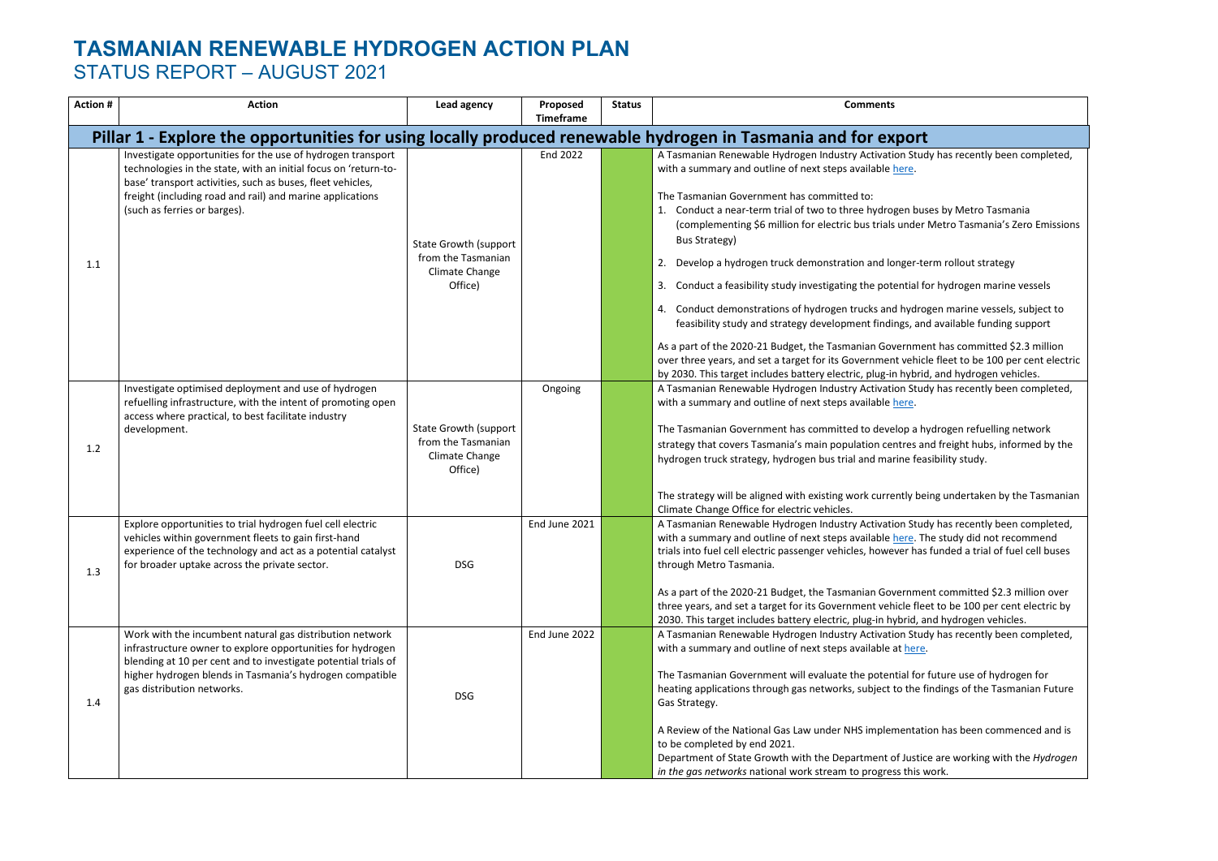| <b>Action#</b> | <b>Action</b>                                                                                                                                                                                                                                                                             | Lead agency                                                                     | Proposed<br><b>Timeframe</b> | <b>Status</b> | <b>Comments</b>                                                                                                                                                                                                                                                                                                                                                                                                                                                                                                                                                                                                                                                                                                                                                                                                                                                                                                                                                                                                                               |
|----------------|-------------------------------------------------------------------------------------------------------------------------------------------------------------------------------------------------------------------------------------------------------------------------------------------|---------------------------------------------------------------------------------|------------------------------|---------------|-----------------------------------------------------------------------------------------------------------------------------------------------------------------------------------------------------------------------------------------------------------------------------------------------------------------------------------------------------------------------------------------------------------------------------------------------------------------------------------------------------------------------------------------------------------------------------------------------------------------------------------------------------------------------------------------------------------------------------------------------------------------------------------------------------------------------------------------------------------------------------------------------------------------------------------------------------------------------------------------------------------------------------------------------|
|                | Pillar 1 - Explore the opportunities for using locally produced renewable hydrogen in Tasmania and for export                                                                                                                                                                             |                                                                                 |                              |               |                                                                                                                                                                                                                                                                                                                                                                                                                                                                                                                                                                                                                                                                                                                                                                                                                                                                                                                                                                                                                                               |
| 1.1            | Investigate opportunities for the use of hydrogen transport<br>technologies in the state, with an initial focus on 'return-to-<br>base' transport activities, such as buses, fleet vehicles,<br>freight (including road and rail) and marine applications<br>(such as ferries or barges). | <b>State Growth (support</b><br>from the Tasmanian<br>Climate Change<br>Office) | <b>End 2022</b>              |               | A Tasmanian Renewable Hydrogen Industry Activation Study has recently been completed,<br>with a summary and outline of next steps available here.<br>The Tasmanian Government has committed to:<br>1. Conduct a near-term trial of two to three hydrogen buses by Metro Tasmania<br>(complementing \$6 million for electric bus trials under Metro Tasmania's Zero Emissions<br><b>Bus Strategy)</b><br>Develop a hydrogen truck demonstration and longer-term rollout strategy<br>3. Conduct a feasibility study investigating the potential for hydrogen marine vessels<br>4. Conduct demonstrations of hydrogen trucks and hydrogen marine vessels, subject to<br>feasibility study and strategy development findings, and available funding support<br>As a part of the 2020-21 Budget, the Tasmanian Government has committed \$2.3 million<br>over three years, and set a target for its Government vehicle fleet to be 100 per cent electric<br>by 2030. This target includes battery electric, plug-in hybrid, and hydrogen vehicles. |
| 1.2            | Investigate optimised deployment and use of hydrogen<br>refuelling infrastructure, with the intent of promoting open<br>access where practical, to best facilitate industry<br>development.                                                                                               | <b>State Growth (support</b><br>from the Tasmanian<br>Climate Change<br>Office) | Ongoing                      |               | A Tasmanian Renewable Hydrogen Industry Activation Study has recently been completed,<br>with a summary and outline of next steps available here.<br>The Tasmanian Government has committed to develop a hydrogen refuelling network<br>strategy that covers Tasmania's main population centres and freight hubs, informed by the<br>hydrogen truck strategy, hydrogen bus trial and marine feasibility study.<br>The strategy will be aligned with existing work currently being undertaken by the Tasmanian<br>Climate Change Office for electric vehicles.                                                                                                                                                                                                                                                                                                                                                                                                                                                                                 |
| 1.3            | Explore opportunities to trial hydrogen fuel cell electric<br>vehicles within government fleets to gain first-hand<br>experience of the technology and act as a potential catalyst<br>for broader uptake across the private sector.                                                       | <b>DSG</b>                                                                      | End June 2021                |               | A Tasmanian Renewable Hydrogen Industry Activation Study has recently been completed,<br>with a summary and outline of next steps available here. The study did not recommend<br>trials into fuel cell electric passenger vehicles, however has funded a trial of fuel cell buses<br>through Metro Tasmania.<br>As a part of the 2020-21 Budget, the Tasmanian Government committed \$2.3 million over<br>three years, and set a target for its Government vehicle fleet to be 100 per cent electric by<br>2030. This target includes battery electric, plug-in hybrid, and hydrogen vehicles.                                                                                                                                                                                                                                                                                                                                                                                                                                                |
| 1.4            | Work with the incumbent natural gas distribution network<br>infrastructure owner to explore opportunities for hydrogen<br>blending at 10 per cent and to investigate potential trials of<br>higher hydrogen blends in Tasmania's hydrogen compatible<br>gas distribution networks.        | <b>DSG</b>                                                                      | End June 2022                |               | A Tasmanian Renewable Hydrogen Industry Activation Study has recently been completed,<br>with a summary and outline of next steps available at here.<br>The Tasmanian Government will evaluate the potential for future use of hydrogen for<br>heating applications through gas networks, subject to the findings of the Tasmanian Future<br>Gas Strategy.<br>A Review of the National Gas Law under NHS implementation has been commenced and is<br>to be completed by end 2021.<br>Department of State Growth with the Department of Justice are working with the Hydrogen<br>in the gas networks national work stream to progress this work.                                                                                                                                                                                                                                                                                                                                                                                               |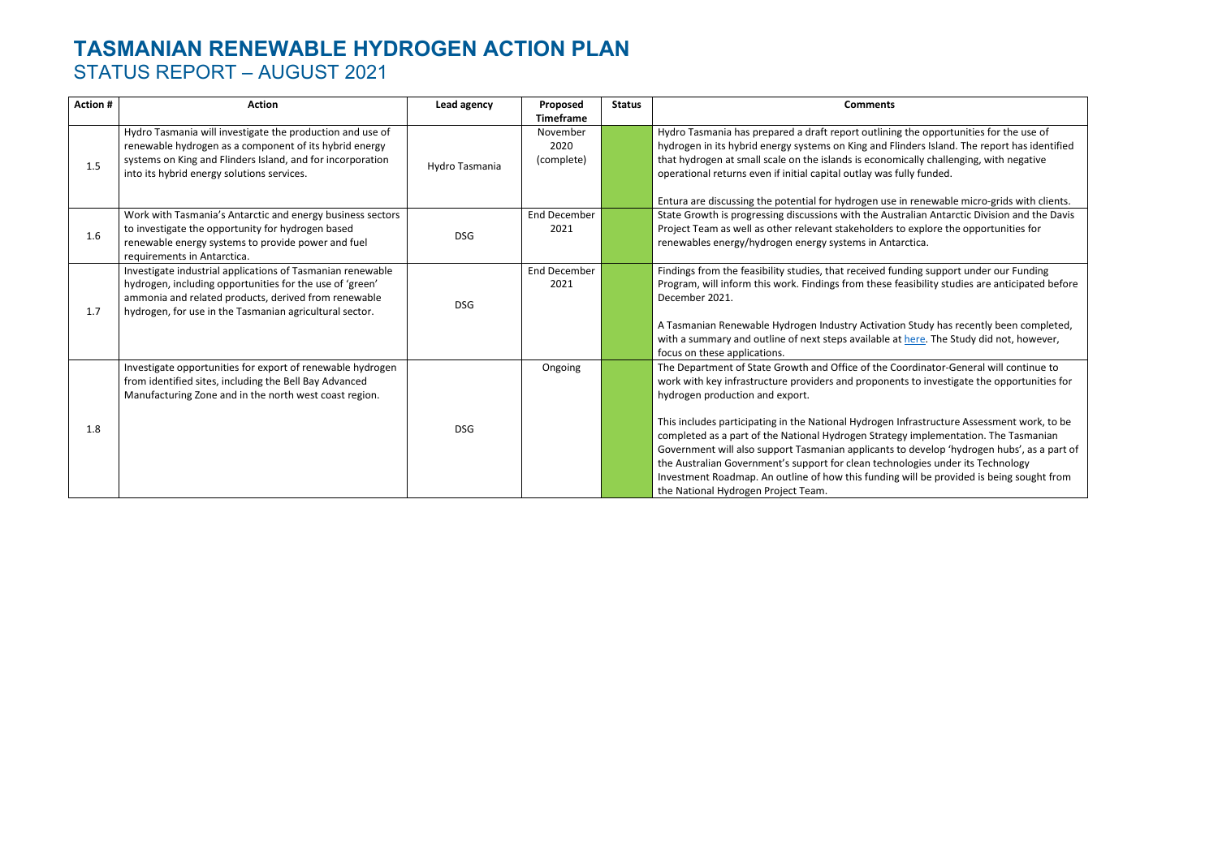| <b>Action#</b> | <b>Action</b>                                                                                                                                                                                                                             | Lead agency    | Proposed<br><b>Timeframe</b>   | <b>Status</b> | <b>Comments</b>                                                                                                                                                                                                                                                                                                                                                                                                                                                                                                           |
|----------------|-------------------------------------------------------------------------------------------------------------------------------------------------------------------------------------------------------------------------------------------|----------------|--------------------------------|---------------|---------------------------------------------------------------------------------------------------------------------------------------------------------------------------------------------------------------------------------------------------------------------------------------------------------------------------------------------------------------------------------------------------------------------------------------------------------------------------------------------------------------------------|
| 1.5            | Hydro Tasmania will investigate the production and use of<br>renewable hydrogen as a component of its hybrid energy<br>systems on King and Flinders Island, and for incorporation<br>into its hybrid energy solutions services.           | Hydro Tasmania | November<br>2020<br>(complete) |               | Hydro Tasmania has prepared a draft report outlining the o<br>hydrogen in its hybrid energy systems on King and Flinders<br>that hydrogen at small scale on the islands is economically<br>operational returns even if initial capital outlay was fully ful                                                                                                                                                                                                                                                               |
| 1.6            | Work with Tasmania's Antarctic and energy business sectors<br>to investigate the opportunity for hydrogen based<br>renewable energy systems to provide power and fuel<br>requirements in Antarctica.                                      | <b>DSG</b>     | <b>End December</b><br>2021    |               | Entura are discussing the potential for hydrogen use in rene<br>State Growth is progressing discussions with the Australian<br>Project Team as well as other relevant stakeholders to expl<br>renewables energy/hydrogen energy systems in Antarctica.                                                                                                                                                                                                                                                                    |
| 1.7            | Investigate industrial applications of Tasmanian renewable<br>hydrogen, including opportunities for the use of 'green'<br>ammonia and related products, derived from renewable<br>hydrogen, for use in the Tasmanian agricultural sector. | <b>DSG</b>     | <b>End December</b><br>2021    |               | Findings from the feasibility studies, that received funding s<br>Program, will inform this work. Findings from these feasibili<br>December 2021.<br>A Tasmanian Renewable Hydrogen Industry Activation Stud<br>with a summary and outline of next steps available at here.<br>focus on these applications.                                                                                                                                                                                                               |
| 1.8            | Investigate opportunities for export of renewable hydrogen<br>from identified sites, including the Bell Bay Advanced<br>Manufacturing Zone and in the north west coast region.                                                            | <b>DSG</b>     | Ongoing                        |               | The Department of State Growth and Office of the Coordina<br>work with key infrastructure providers and proponents to in<br>hydrogen production and export.<br>This includes participating in the National Hydrogen Infrasti<br>completed as a part of the National Hydrogen Strategy imp<br>Government will also support Tasmanian applicants to deve<br>the Australian Government's support for clean technologies<br>Investment Roadmap. An outline of how this funding will be<br>the National Hydrogen Project Team. |

opportunities for the use of rs Island. The report has identified Ily challenging, with negative funded.

enewable micro-grids with clients. an Antarctic Division and the Davis eplore the opportunities for

Ifform the fearsibility support under our Funding pility studies are anticipated before

udy has recently been completed, re. The Study did not, however,

Inator-General will continue to investigate the opportunities for

Istructure Assessment work, to be nplementation. The Tasmanian evelop 'hydrogen hubs', as a part of the Australian Governments its Support for the Support for the support  $i$ I be provided is being sought from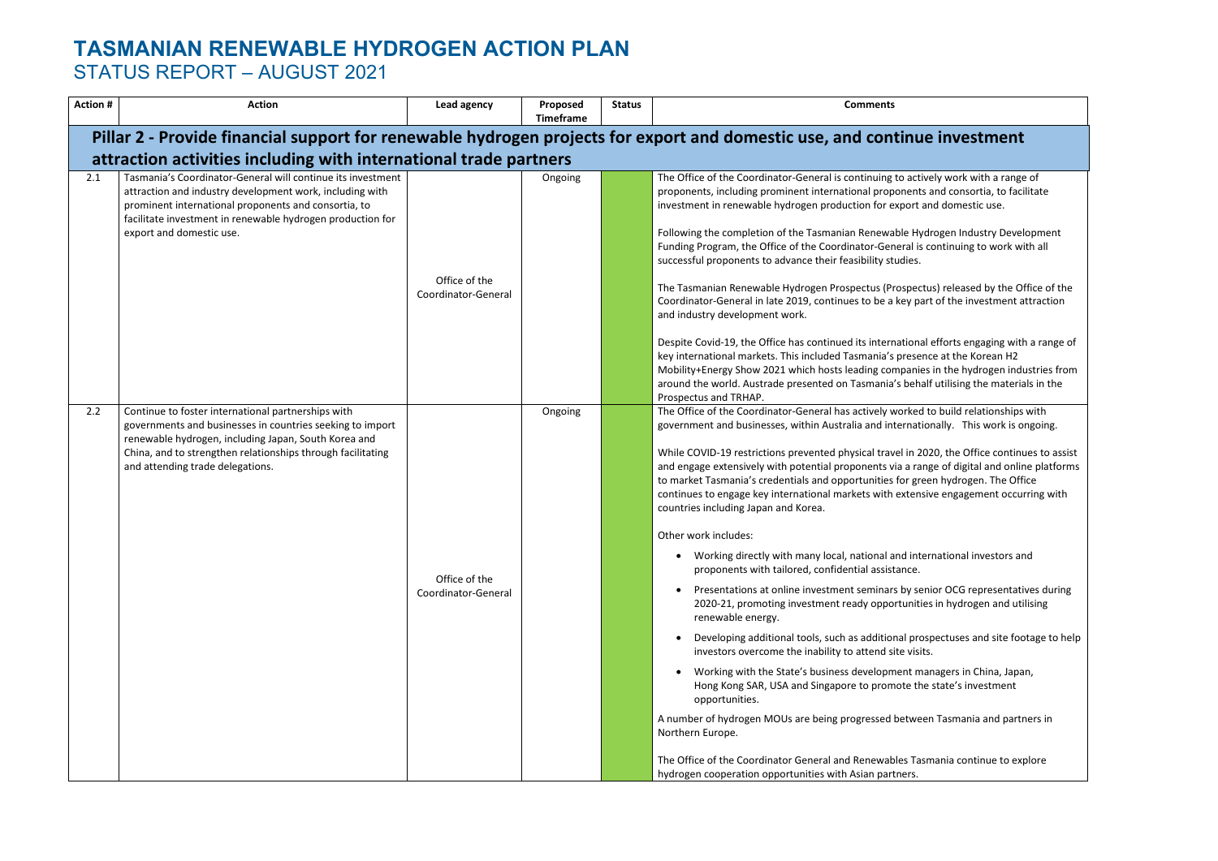| <b>Action #</b> | <b>Action</b>                                                                                                                                                                                                                                                              | Lead agency                          | Proposed<br><b>Timeframe</b> | <b>Status</b> | <b>Comments</b>                                                                                                                                                                                                                                                                                                                                                                                                                                                                                                                                                                                                                                                                                                                                                                                                                                                                                                                                                                                                                                                                                                                                                                                                                                                                                                                                                                                                                                                        |  |  |  |  |  |
|-----------------|----------------------------------------------------------------------------------------------------------------------------------------------------------------------------------------------------------------------------------------------------------------------------|--------------------------------------|------------------------------|---------------|------------------------------------------------------------------------------------------------------------------------------------------------------------------------------------------------------------------------------------------------------------------------------------------------------------------------------------------------------------------------------------------------------------------------------------------------------------------------------------------------------------------------------------------------------------------------------------------------------------------------------------------------------------------------------------------------------------------------------------------------------------------------------------------------------------------------------------------------------------------------------------------------------------------------------------------------------------------------------------------------------------------------------------------------------------------------------------------------------------------------------------------------------------------------------------------------------------------------------------------------------------------------------------------------------------------------------------------------------------------------------------------------------------------------------------------------------------------------|--|--|--|--|--|
|                 | Pillar 2 - Provide financial support for renewable hydrogen projects for export and domestic use, and continue investment<br>attraction activities including with international trade partners                                                                             |                                      |                              |               |                                                                                                                                                                                                                                                                                                                                                                                                                                                                                                                                                                                                                                                                                                                                                                                                                                                                                                                                                                                                                                                                                                                                                                                                                                                                                                                                                                                                                                                                        |  |  |  |  |  |
| 2.1             | Tasmania's Coordinator-General will continue its investment<br>attraction and industry development work, including with<br>prominent international proponents and consortia, to<br>facilitate investment in renewable hydrogen production for<br>export and domestic use.  | Office of the<br>Coordinator-General | Ongoing                      |               | The Office of the Coordinator-General is continuing to actively work with a range<br>proponents, including prominent international proponents and consortia, to facil<br>investment in renewable hydrogen production for export and domestic use.<br>Following the completion of the Tasmanian Renewable Hydrogen Industry Develo<br>Funding Program, the Office of the Coordinator-General is continuing to work wit<br>successful proponents to advance their feasibility studies.<br>The Tasmanian Renewable Hydrogen Prospectus (Prospectus) released by the Of<br>Coordinator-General in late 2019, continues to be a key part of the investment at<br>and industry development work.<br>Despite Covid-19, the Office has continued its international efforts engaging with<br>key international markets. This included Tasmania's presence at the Korean H2<br>Mobility+Energy Show 2021 which hosts leading companies in the hydrogen indu<br>around the world. Austrade presented on Tasmania's behalf utilising the materia<br>Prospectus and TRHAP.                                                                                                                                                                                                                                                                                                                                                                                                          |  |  |  |  |  |
| 2.2             | Continue to foster international partnerships with<br>governments and businesses in countries seeking to import<br>renewable hydrogen, including Japan, South Korea and<br>China, and to strengthen relationships through facilitating<br>and attending trade delegations. | Office of the<br>Coordinator-General | Ongoing                      |               | The Office of the Coordinator-General has actively worked to build relationships<br>government and businesses, within Australia and internationally. This work is or<br>While COVID-19 restrictions prevented physical travel in 2020, the Office continu<br>and engage extensively with potential proponents via a range of digital and onlin<br>to market Tasmania's credentials and opportunities for green hydrogen. The Offic<br>continues to engage key international markets with extensive engagement occur<br>countries including Japan and Korea.<br>Other work includes:<br>Working directly with many local, national and international investors an<br>proponents with tailored, confidential assistance.<br>Presentations at online investment seminars by senior OCG representative<br>$\bullet$<br>2020-21, promoting investment ready opportunities in hydrogen and util<br>renewable energy.<br>Developing additional tools, such as additional prospectuses and site foot<br>investors overcome the inability to attend site visits.<br>Working with the State's business development managers in China, Japar<br>Hong Kong SAR, USA and Singapore to promote the state's investment<br>opportunities.<br>A number of hydrogen MOUs are being progressed between Tasmania and partn<br>Northern Europe.<br>The Office of the Coordinator General and Renewables Tasmania continue to exp<br>hydrogen cooperation opportunities with Asian partners. |  |  |  |  |  |

tively work with a range of nts and consortia, to facilitate t and domestic use.

**Hydrogen Industry Development** is continuing to work with all

ectus) released by the Office of the part of the investment attraction

nal efforts engaging with a range of ence at the Korean H2 iies in the hydrogen industries from half utilising the materials in the

ed to build relationships with itionally. This work is ongoing.

2020, the Office continues to assist ange of digital and online platforms the market market reentings are the Coffice nsive engagement occurring with

ternational investors and

senior OCG representatives during ties in hydrogen and utilising

rospectuses and site footage to help

managers in China, Japan, the state's investment

een Tasmania and partners in

asmania continue to explore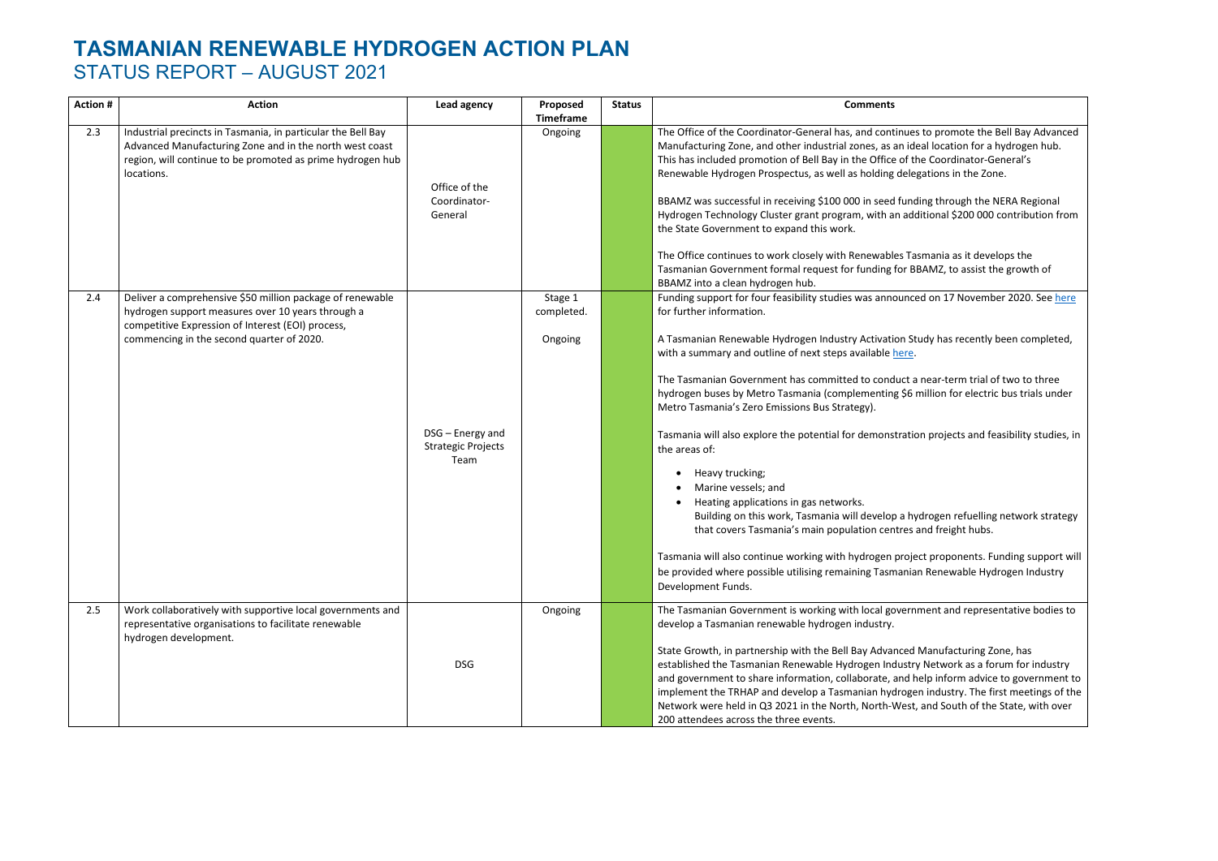| <b>Action #</b> | <b>Action</b>                                                                                                                                                                                                    | Lead agency                                           | Proposed<br><b>Timeframe</b>     | <b>Status</b> | <b>Comments</b>                                                                                                                                                                                                                                                                                                                                                                                                                                                                                                                                                                                                                                                                                                                                                                                      |
|-----------------|------------------------------------------------------------------------------------------------------------------------------------------------------------------------------------------------------------------|-------------------------------------------------------|----------------------------------|---------------|------------------------------------------------------------------------------------------------------------------------------------------------------------------------------------------------------------------------------------------------------------------------------------------------------------------------------------------------------------------------------------------------------------------------------------------------------------------------------------------------------------------------------------------------------------------------------------------------------------------------------------------------------------------------------------------------------------------------------------------------------------------------------------------------------|
| 2.3             | Industrial precincts in Tasmania, in particular the Bell Bay<br>Advanced Manufacturing Zone and in the north west coast<br>region, will continue to be promoted as prime hydrogen hub<br>locations.              | Office of the<br>Coordinator-<br>General              | Ongoing                          |               | The Office of the Coordinator-General has, and continues<br>Manufacturing Zone, and other industrial zones, as an ide<br>This has included promotion of Bell Bay in the Office of th<br>Renewable Hydrogen Prospectus, as well as holding deleg<br>BBAMZ was successful in receiving \$100 000 in seed fund<br>Hydrogen Technology Cluster grant program, with an add<br>the State Government to expand this work.<br>The Office continues to work closely with Renewables Tas<br>Tasmanian Government formal request for funding for BE<br>BBAMZ into a clean hydrogen hub.                                                                                                                                                                                                                         |
| 2.4             | Deliver a comprehensive \$50 million package of renewable<br>hydrogen support measures over 10 years through a<br>competitive Expression of Interest (EOI) process,<br>commencing in the second quarter of 2020. | DSG - Energy and<br><b>Strategic Projects</b><br>Team | Stage 1<br>completed.<br>Ongoing |               | Funding support for four feasibility studies was announce<br>for further information.<br>A Tasmanian Renewable Hydrogen Industry Activation Stu<br>with a summary and outline of next steps available here.<br>The Tasmanian Government has committed to conduct a<br>hydrogen buses by Metro Tasmania (complementing \$6 n<br>Metro Tasmania's Zero Emissions Bus Strategy).<br>Tasmania will also explore the potential for demonstratio<br>the areas of:<br>Heavy trucking;<br>Marine vessels; and<br>Heating applications in gas networks.<br>Building on this work, Tasmania will develop a hy<br>that covers Tasmania's main population centres a<br>Tasmania will also continue working with hydrogen proje<br>be provided where possible utilising remaining Tasmaniar<br>Development Funds. |
| 2.5             | Work collaboratively with supportive local governments and<br>representative organisations to facilitate renewable<br>hydrogen development.                                                                      | <b>DSG</b>                                            | Ongoing                          |               | The Tasmanian Government is working with local governr<br>develop a Tasmanian renewable hydrogen industry.<br>State Growth, in partnership with the Bell Bay Advanced I<br>established the Tasmanian Renewable Hydrogen Industry<br>and government to share information, collaborate, and he<br>implement the TRHAP and develop a Tasmanian hydroger<br>Network were held in Q3 2021 in the North, North-West,<br>200 attendees across the three events.                                                                                                                                                                                                                                                                                                                                             |

of to promote the Bell Bay Advanced al location for a hydrogen hub. he Coordinator-General's gations in the Zone. ling through the NERA Regional ditional \$200 000 contribution from smania as it develops the BAMZ, to assist the growth of ed on 17 November 2020. See [here](https://renewablestasmania.tas.gov.au/innovation_and_investment/renewable_hydrogen_investment_opportunity/tasmanian_renewable_hydrogen_industry_development_funding_program/tasmanian_hydrogen_demand_study) udy has recently been completed, I near-term trial of two to three million for electric bus trials under on projects and feasibility studies, in

drogen refuelling network strategy and freight hubs.

ect proponents. Funding support will n Renewable Hydrogen Industry

ment and representative bodies to

Manufacturing Zone, has But Network as a forum for industry nelp inform advice to government to en industry. The first meetings of the and South of the State, with over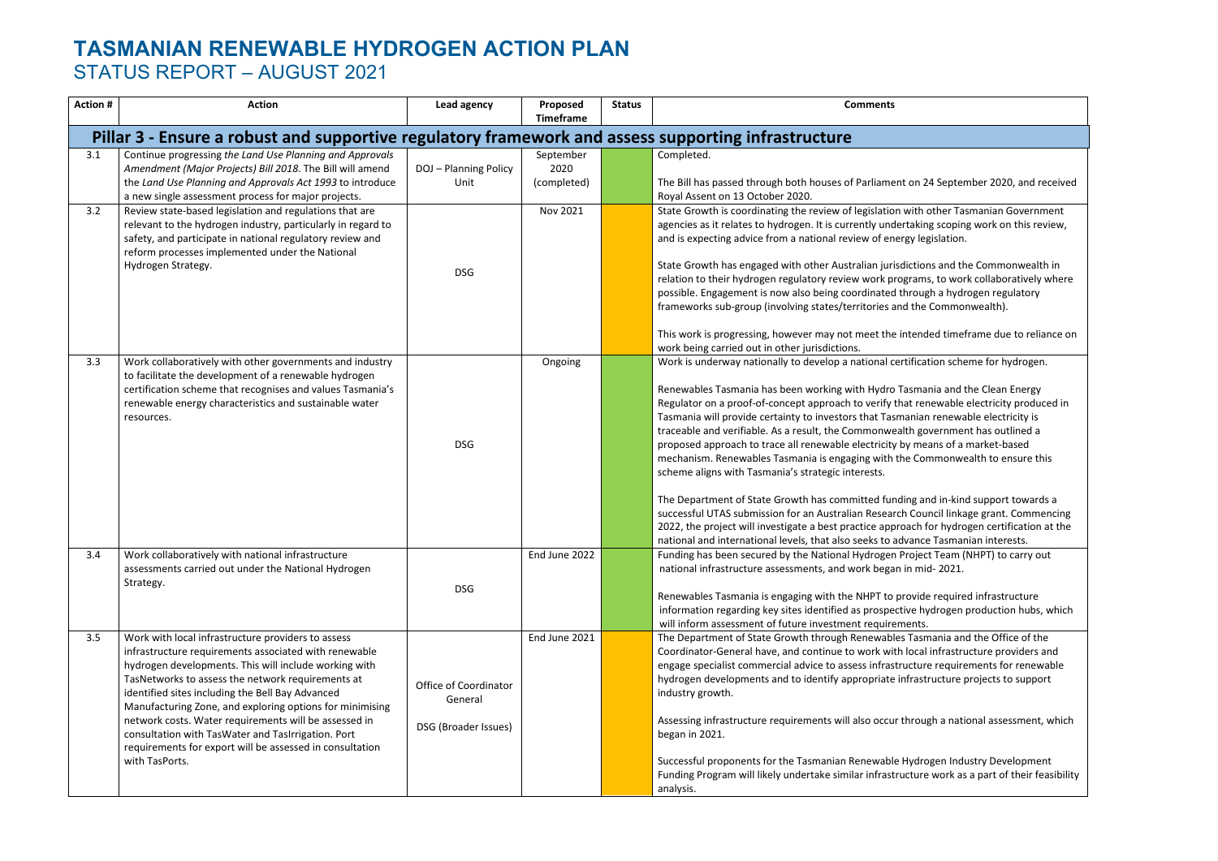| <b>Action#</b>                                                                                      | <b>Action</b>                                                                                                                                                                                                                                                                                                                                                                                                                                                                                                                          | Lead agency                                              | Proposed<br><b>Timeframe</b>     | <b>Status</b> | <b>Comments</b>                                                                                                                                                                                                                                                                                                                                                                                                                                                                                                                                                                                                                                                                                                                                                                                                                                                                                                                                                                                                                                     |  |  |  |  |
|-----------------------------------------------------------------------------------------------------|----------------------------------------------------------------------------------------------------------------------------------------------------------------------------------------------------------------------------------------------------------------------------------------------------------------------------------------------------------------------------------------------------------------------------------------------------------------------------------------------------------------------------------------|----------------------------------------------------------|----------------------------------|---------------|-----------------------------------------------------------------------------------------------------------------------------------------------------------------------------------------------------------------------------------------------------------------------------------------------------------------------------------------------------------------------------------------------------------------------------------------------------------------------------------------------------------------------------------------------------------------------------------------------------------------------------------------------------------------------------------------------------------------------------------------------------------------------------------------------------------------------------------------------------------------------------------------------------------------------------------------------------------------------------------------------------------------------------------------------------|--|--|--|--|
| Pillar 3 - Ensure a robust and supportive regulatory framework and assess supporting infrastructure |                                                                                                                                                                                                                                                                                                                                                                                                                                                                                                                                        |                                                          |                                  |               |                                                                                                                                                                                                                                                                                                                                                                                                                                                                                                                                                                                                                                                                                                                                                                                                                                                                                                                                                                                                                                                     |  |  |  |  |
| 3.1                                                                                                 | Continue progressing the Land Use Planning and Approvals<br>Amendment (Major Projects) Bill 2018. The Bill will amend<br>the Land Use Planning and Approvals Act 1993 to introduce<br>a new single assessment process for major projects.                                                                                                                                                                                                                                                                                              | DOJ - Planning Policy<br>Unit                            | September<br>2020<br>(completed) |               | Completed.<br>The Bill has passed through both houses of Parliament on 24 September 2020, and received<br>Royal Assent on 13 October 2020.                                                                                                                                                                                                                                                                                                                                                                                                                                                                                                                                                                                                                                                                                                                                                                                                                                                                                                          |  |  |  |  |
| 3.2                                                                                                 | Review state-based legislation and regulations that are<br>relevant to the hydrogen industry, particularly in regard to<br>safety, and participate in national regulatory review and<br>reform processes implemented under the National<br>Hydrogen Strategy.                                                                                                                                                                                                                                                                          | <b>DSG</b>                                               | Nov 2021                         |               | State Growth is coordinating the review of legislation with other Tasmanian Government<br>agencies as it relates to hydrogen. It is currently undertaking scoping work on this review,<br>and is expecting advice from a national review of energy legislation.<br>State Growth has engaged with other Australian jurisdictions and the Commonwealth in<br>relation to their hydrogen regulatory review work programs, to work collaboratively where<br>possible. Engagement is now also being coordinated through a hydrogen regulatory<br>frameworks sub-group (involving states/territories and the Commonwealth).<br>This work is progressing, however may not meet the intended timeframe due to reliance on<br>work being carried out in other jurisdictions.                                                                                                                                                                                                                                                                                 |  |  |  |  |
| 3.3                                                                                                 | Work collaboratively with other governments and industry<br>to facilitate the development of a renewable hydrogen<br>certification scheme that recognises and values Tasmania's<br>renewable energy characteristics and sustainable water<br>resources.                                                                                                                                                                                                                                                                                | <b>DSG</b>                                               | Ongoing                          |               | Work is underway nationally to develop a national certification scheme for hydrogen.<br>Renewables Tasmania has been working with Hydro Tasmania and the Clean Energy<br>Regulator on a proof-of-concept approach to verify that renewable electricity produced in<br>Tasmania will provide certainty to investors that Tasmanian renewable electricity is<br>traceable and verifiable. As a result, the Commonwealth government has outlined a<br>proposed approach to trace all renewable electricity by means of a market-based<br>mechanism. Renewables Tasmania is engaging with the Commonwealth to ensure this<br>scheme aligns with Tasmania's strategic interests.<br>The Department of State Growth has committed funding and in-kind support towards a<br>successful UTAS submission for an Australian Research Council linkage grant. Commencing<br>2022, the project will investigate a best practice approach for hydrogen certification at the<br>national and international levels, that also seeks to advance Tasmanian interests. |  |  |  |  |
| 3.4                                                                                                 | Work collaboratively with national infrastructure<br>assessments carried out under the National Hydrogen<br>Strategy.                                                                                                                                                                                                                                                                                                                                                                                                                  | <b>DSG</b>                                               | End June 2022                    |               | Funding has been secured by the National Hydrogen Project Team (NHPT) to carry out<br>national infrastructure assessments, and work began in mid-2021.<br>Renewables Tasmania is engaging with the NHPT to provide required infrastructure<br>information regarding key sites identified as prospective hydrogen production hubs, which<br>will inform assessment of future investment requirements.                                                                                                                                                                                                                                                                                                                                                                                                                                                                                                                                                                                                                                                |  |  |  |  |
| 3.5                                                                                                 | Work with local infrastructure providers to assess<br>infrastructure requirements associated with renewable<br>hydrogen developments. This will include working with<br>TasNetworks to assess the network requirements at<br>identified sites including the Bell Bay Advanced<br>Manufacturing Zone, and exploring options for minimising<br>network costs. Water requirements will be assessed in<br>consultation with TasWater and TasIrrigation. Port<br>requirements for export will be assessed in consultation<br>with TasPorts. | Office of Coordinator<br>General<br>DSG (Broader Issues) | End June 2021                    |               | The Department of State Growth through Renewables Tasmania and the Office of the<br>Coordinator-General have, and continue to work with local infrastructure providers and<br>engage specialist commercial advice to assess infrastructure requirements for renewable<br>hydrogen developments and to identify appropriate infrastructure projects to support<br>industry growth.<br>Assessing infrastructure requirements will also occur through a national assessment, which<br>began in 2021.<br>Successful proponents for the Tasmanian Renewable Hydrogen Industry Development<br>Funding Program will likely undertake similar infrastructure work as a part of their feasibility<br>analysis.                                                                                                                                                                                                                                                                                                                                               |  |  |  |  |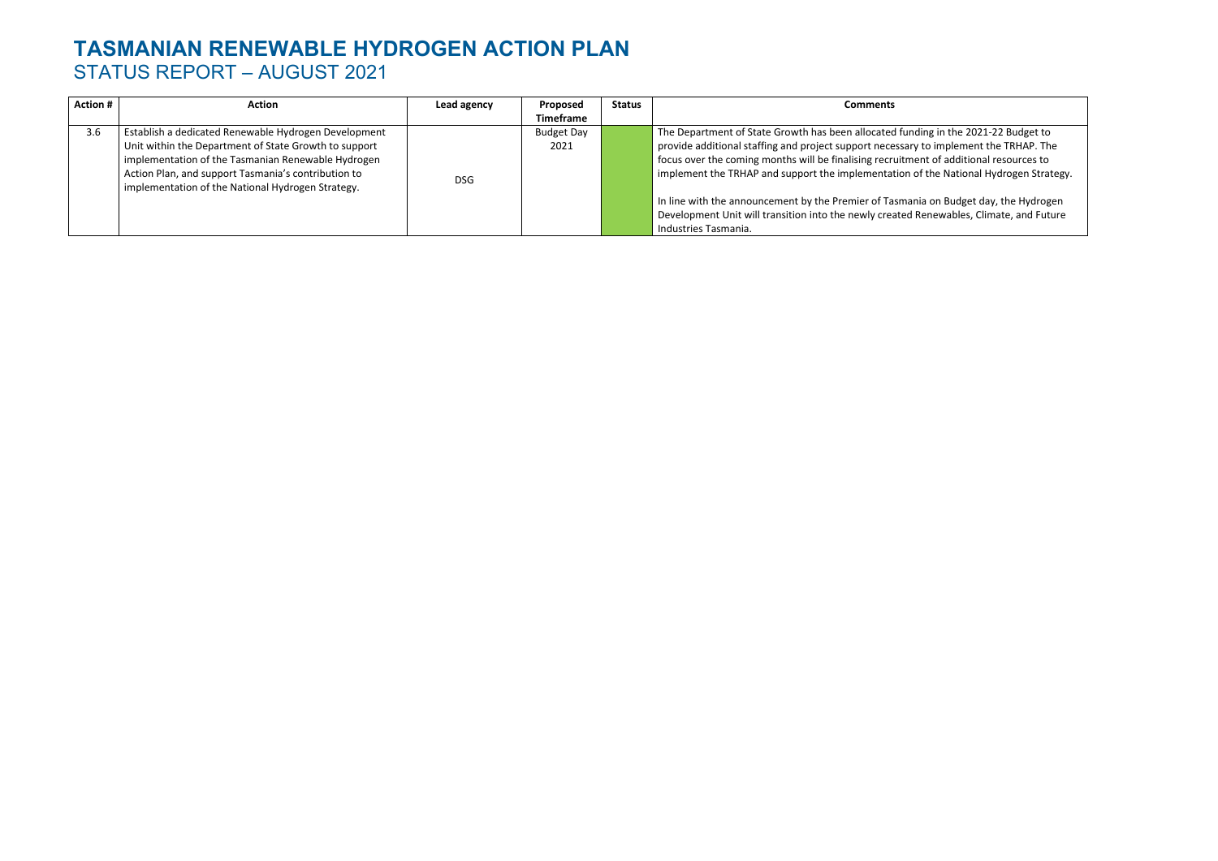| <b>Action #</b> | <b>Action</b>                                                                                            | Lead agency | Proposed          | <b>Status</b> | Comments                                                  |
|-----------------|----------------------------------------------------------------------------------------------------------|-------------|-------------------|---------------|-----------------------------------------------------------|
|                 |                                                                                                          |             | <b>Timeframe</b>  |               |                                                           |
| 3.6             | Establish a dedicated Renewable Hydrogen Development                                                     |             | <b>Budget Day</b> |               | The Department of State Growth has been allocated fund    |
|                 | Unit within the Department of State Growth to support                                                    |             | 2021              |               | provide additional staffing and project support necessary |
|                 | implementation of the Tasmanian Renewable Hydrogen                                                       |             |                   |               | focus over the coming months will be finalising recruitme |
|                 | Action Plan, and support Tasmania's contribution to<br>implementation of the National Hydrogen Strategy. | <b>DSG</b>  |                   |               | implement the TRHAP and support the implementation of     |
|                 |                                                                                                          |             |                   |               | In line with the announcement by the Premier of Tasmani   |
|                 |                                                                                                          |             |                   |               | Development Unit will transition into the newly created R |
|                 |                                                                                                          |             |                   |               | Industries Tasmania.                                      |

 $T$  ding in the 2021-22 Budget to  $\widetilde{\rho}$  to implement the TRHAP. The ent of additional resources to f the National Hydrogen Strategy.

iia on Budget day, the Hydrogen Renewables, Climate, and Future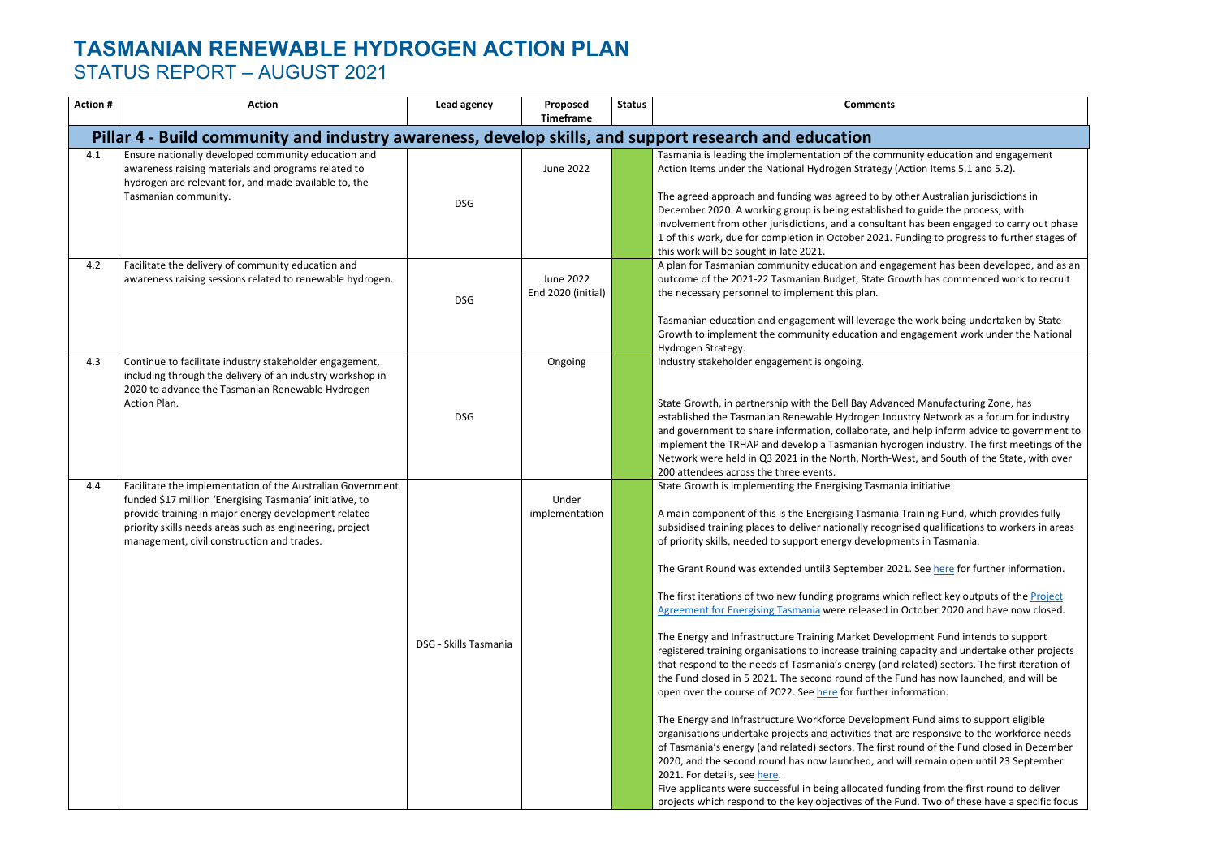| <b>Action #</b>                                                                                       | <b>Action</b>                                                                                                                                                                                                                                                                            | Lead agency           | Proposed<br><b>Timeframe</b>    | <b>Status</b> | <b>Comments</b>                                                                                                                                                                                                                                                                                                                                                                                                                                                                                                                                                                                                                                                                                                                                                                                                                                                                                                                                                                                                                                                                                                                                           |  |  |  |  |
|-------------------------------------------------------------------------------------------------------|------------------------------------------------------------------------------------------------------------------------------------------------------------------------------------------------------------------------------------------------------------------------------------------|-----------------------|---------------------------------|---------------|-----------------------------------------------------------------------------------------------------------------------------------------------------------------------------------------------------------------------------------------------------------------------------------------------------------------------------------------------------------------------------------------------------------------------------------------------------------------------------------------------------------------------------------------------------------------------------------------------------------------------------------------------------------------------------------------------------------------------------------------------------------------------------------------------------------------------------------------------------------------------------------------------------------------------------------------------------------------------------------------------------------------------------------------------------------------------------------------------------------------------------------------------------------|--|--|--|--|
| Pillar 4 - Build community and industry awareness, develop skills, and support research and education |                                                                                                                                                                                                                                                                                          |                       |                                 |               |                                                                                                                                                                                                                                                                                                                                                                                                                                                                                                                                                                                                                                                                                                                                                                                                                                                                                                                                                                                                                                                                                                                                                           |  |  |  |  |
| 4.1                                                                                                   | Ensure nationally developed community education and<br>awareness raising materials and programs related to<br>hydrogen are relevant for, and made available to, the<br>Tasmanian community.                                                                                              | <b>DSG</b>            | June 2022                       |               | Tasmania is leading the implementation of the communit<br>Action Items under the National Hydrogen Strategy (Action<br>The agreed approach and funding was agreed to by other<br>December 2020. A working group is being established to<br>involvement from other jurisdictions, and a consultant ha<br>1 of this work, due for completion in October 2021. Fundi<br>this work will be sought in late 2021.                                                                                                                                                                                                                                                                                                                                                                                                                                                                                                                                                                                                                                                                                                                                               |  |  |  |  |
| 4.2                                                                                                   | Facilitate the delivery of community education and<br>awareness raising sessions related to renewable hydrogen.                                                                                                                                                                          | <b>DSG</b>            | June 2022<br>End 2020 (initial) |               | A plan for Tasmanian community education and engagem<br>outcome of the 2021-22 Tasmanian Budget, State Growth<br>the necessary personnel to implement this plan.<br>Tasmanian education and engagement will leverage the v<br>Growth to implement the community education and enga<br>Hydrogen Strategy.                                                                                                                                                                                                                                                                                                                                                                                                                                                                                                                                                                                                                                                                                                                                                                                                                                                  |  |  |  |  |
| 4.3                                                                                                   | Continue to facilitate industry stakeholder engagement,<br>including through the delivery of an industry workshop in<br>2020 to advance the Tasmanian Renewable Hydrogen<br>Action Plan.                                                                                                 | <b>DSG</b>            | Ongoing                         |               | Industry stakeholder engagement is ongoing.<br>State Growth, in partnership with the Bell Bay Advanced I<br>established the Tasmanian Renewable Hydrogen Industry<br>and government to share information, collaborate, and h<br>implement the TRHAP and develop a Tasmanian hydroge<br>Network were held in Q3 2021 in the North, North-West,<br>200 attendees across the three events.                                                                                                                                                                                                                                                                                                                                                                                                                                                                                                                                                                                                                                                                                                                                                                   |  |  |  |  |
| 4.4                                                                                                   | Facilitate the implementation of the Australian Government<br>funded \$17 million 'Energising Tasmania' initiative, to<br>provide training in major energy development related<br>priority skills needs areas such as engineering, project<br>management, civil construction and trades. | DSG - Skills Tasmania | Under<br>implementation         |               | State Growth is implementing the Energising Tasmania in<br>A main component of this is the Energising Tasmania Trai<br>subsidised training places to deliver nationally recognised<br>of priority skills, needed to support energy developments<br>The Grant Round was extended until3 September 2021. S<br>The first iterations of two new funding programs which re<br>Agreement for Energising Tasmania were released in Octo<br>The Energy and Infrastructure Training Market Developm<br>registered training organisations to increase training capa<br>that respond to the needs of Tasmania's energy (and rela<br>the Fund closed in 5 2021. The second round of the Fund<br>open over the course of 2022. See here for further inform<br>The Energy and Infrastructure Workforce Development F<br>organisations undertake projects and activities that are re<br>of Tasmania's energy (and related) sectors. The first roun<br>2020, and the second round has now launched, and will r<br>2021. For details, see here.<br>Five applicants were successful in being allocated funding<br>projects which respond to the key objectives of the Fund. |  |  |  |  |

ty education and engagement on Items  $5.1$  and  $5.2$ ).

**Australian jurisdictions in** guide the process, with as been engaged to carry out phase ling to progress to further stages of

ment has been developed, and as an h has commenced work to recruit

work being undertaken by State agement work under the National

Manufacturing Zone, has Retwork as a forum for industry nelp inform advice to government to en industry. The first meetings of the , and South of the State, with over

nitiative.

ining Fund, which provides fully I qualifications to workers in areas in Tasmania.

Se[e here](https://www.skills.tas.gov.au/providers/rto/funding_programs_for_endorsed_rtos/energising_tasmania_training_fund) for further information.

eflect key outputs of the **Project** tober 2020 and have now closed.

The Fund intends to support acity and undertake other projects ated) sectors. The first iteration of I has now launched, and will be mation.

Fund aims to support eligible esponsive to the workforce needs nd of the Fund closed in December remain open until 23 September

five applicants from the first round to deliver . Two of these have a specific focus